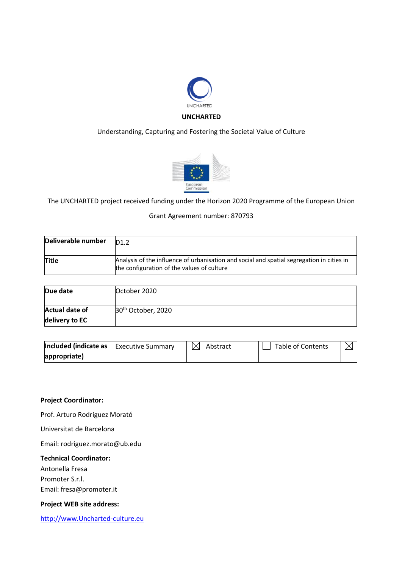

## Understanding, Capturing and Fostering the Societal Value of Culture



The UNCHARTED project received funding under the Horizon 2020 Programme of the European Union

#### Grant Agreement number: 870793

| Deliverable number | D1.2                                                                                                                                    |
|--------------------|-----------------------------------------------------------------------------------------------------------------------------------------|
| <b>Title</b>       | Analysis of the influence of urbanisation and social and spatial segregation in cities in<br>the configuration of the values of culture |

| Due date              | October 2020                   |
|-----------------------|--------------------------------|
| <b>Actual date of</b> | 30 <sup>th</sup> October, 2020 |
| delivery to EC        |                                |

| Included (indicate as | <b>Executive Summary</b> | $\bowtie$ | Abstract | Table of Contents | $\bowtie$ |
|-----------------------|--------------------------|-----------|----------|-------------------|-----------|
| appropriate)          |                          |           |          |                   |           |

#### **Project Coordinator:**

Prof. Arturo Rodriguez Morató

Universitat de Barcelona

Email: rodriguez.morato@ub.edu

### **Technical Coordinator:**

Antonella Fresa

Promoter S.r.l.

Email: fresa@promoter.it

### **Project WEB site address:**

[http://www.Uncharted-culture.eu](http://www.uncharted-culture.eu/)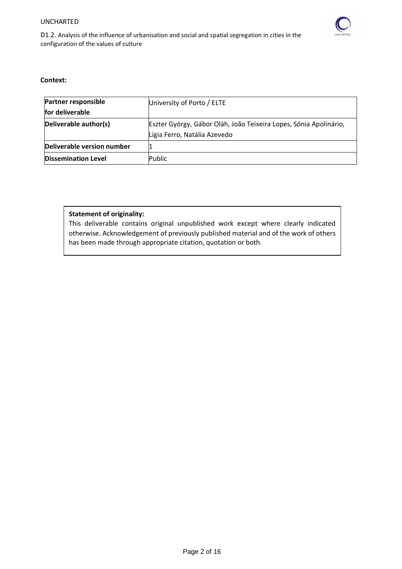

D1.2. Analysis of the influence of urbanisation and social and spatial segregation in cities in the configuration of the values of culture

#### **Context:**

| <b>Partner responsible</b><br>for deliverable | University of Porto / ELTE                                                                        |  |  |
|-----------------------------------------------|---------------------------------------------------------------------------------------------------|--|--|
| Deliverable author(s)                         | Eszter György, Gábor Oláh, João Teixeira Lopes, Sónia Apolinário,<br>Lígia Ferro, Natália Azevedo |  |  |
| Deliverable version number                    |                                                                                                   |  |  |
| <b>Dissemination Level</b>                    | Public                                                                                            |  |  |

## **Statement of originality:**

This deliverable contains original unpublished work except where clearly indicated otherwise. Acknowledgement of previously published material and of the work of others has been made through appropriate citation, quotation or both.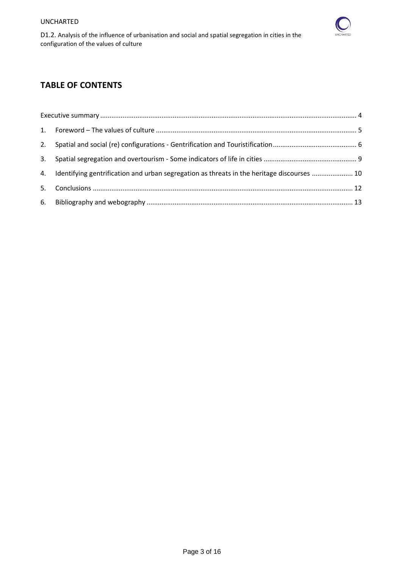

D1.2. Analysis of the influence of urbanisation and social and spatial segregation in cities in the configuration of the values of culture

# **TABLE OF CONTENTS**

| 4. Identifying gentrification and urban segregation as threats in the heritage discourses  10 |  |
|-----------------------------------------------------------------------------------------------|--|
|                                                                                               |  |
|                                                                                               |  |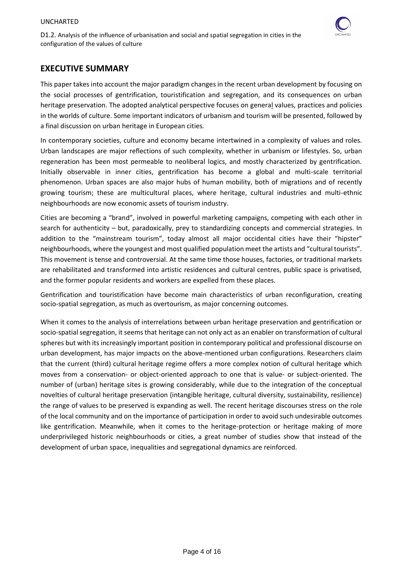

## <span id="page-3-0"></span>**EXECUTIVE SUMMARY**

This paper takes into account the major paradigm changes in the recent urban development by focusing on the social processes of gentrification, touristification and segregation, and its consequences on urban heritage preservation. The adopted analytical perspective focuses on general values, practices and policies in the worlds of culture. Some important indicators of urbanism and tourism will be presented, followed by a final discussion on urban heritage in European cities.

In contemporary societies, culture and economy became intertwined in a complexity of values and roles. Urban landscapes are major reflections of such complexity, whether in urbanism or lifestyles. So, urban regeneration has been most permeable to neoliberal logics, and mostly characterized by gentrification. Initially observable in inner cities, gentrification has become a global and multi-scale territorial phenomenon. Urban spaces are also major hubs of human mobility, both of migrations and of recently growing tourism; these are multicultural places, where heritage, cultural industries and multi-ethnic neighbourhoods are now economic assets of tourism industry.

Cities are becoming a "brand", involved in powerful marketing campaigns, competing with each other in search for authenticity – but, paradoxically, prey to standardizing concepts and commercial strategies. In addition to the "mainstream tourism", today almost all major occidental cities have their "hipster" neighbourhoods, where the youngest and most qualified population meet the artists and "cultural tourists". This movement is tense and controversial. At the same time those houses, factories, or traditional markets are rehabilitated and transformed into artistic residences and cultural centres, public space is privatised, and the former popular residents and workers are expelled from these places.

Gentrification and touristification have become main characteristics of urban reconfiguration, creating socio-spatial segregation, as much as overtourism, as major concerning outcomes.

When it comes to the analysis of interrelations between urban heritage preservation and gentrification or socio-spatial segregation, it seems that heritage can not only act as an enabler on transformation of cultural spheres but with its increasingly important position in contemporary political and professional discourse on urban development, has major impacts on the above-mentioned urban configurations. Researchers claim that the current (third) cultural heritage regime offers a more complex notion of cultural heritage which moves from a conservation- or object-oriented approach to one that is value- or subject-oriented. The number of (urban) heritage sites is growing considerably, while due to the integration of the conceptual novelties of cultural heritage preservation (intangible heritage, cultural diversity, sustainability, resilience) the range of values to be preserved is expanding as well. The recent heritage discourses stress on the role of the local community and on the importance of participation in order to avoid such undesirable outcomes like gentrification. Meanwhile, when it comes to the heritage-protection or heritage making of more underprivileged historic neighbourhoods or cities, a great number of studies show that instead of the development of urban space, inequalities and segregational dynamics are reinforced.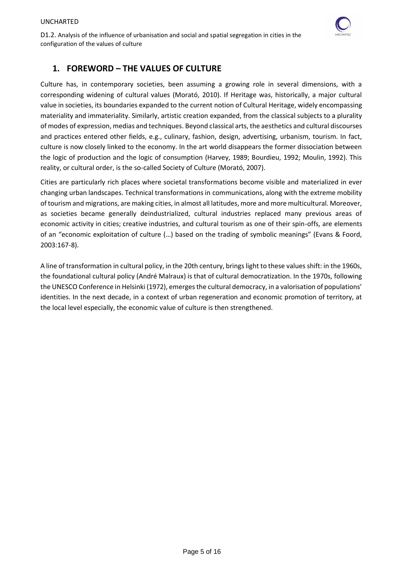

# <span id="page-4-0"></span>**1. FOREWORD – THE VALUES OF CULTURE**

Culture has, in contemporary societies, been assuming a growing role in several dimensions, with a corresponding widening of cultural values (Morató, 2010). If Heritage was, historically, a major cultural value in societies, its boundaries expanded to the current notion of Cultural Heritage, widely encompassing materiality and immateriality. Similarly, artistic creation expanded, from the classical subjects to a plurality of modes of expression, medias and techniques. Beyond classical arts, the aesthetics and cultural discourses and practices entered other fields, e.g., culinary, fashion, design, advertising, urbanism, tourism. In fact, culture is now closely linked to the economy. In the art world disappears the former dissociation between the logic of production and the logic of consumption (Harvey, 1989; Bourdieu, 1992; Moulin, 1992). This reality, or cultural order, is the so-called Society of Culture (Morató, 2007).

Cities are particularly rich places where societal transformations become visible and materialized in ever changing urban landscapes. Technical transformations in communications, along with the extreme mobility of tourism and migrations, are making cities, in almost all latitudes, more and more multicultural. Moreover, as societies became generally deindustrialized, cultural industries replaced many previous areas of economic activity in cities; creative industries, and cultural tourism as one of their spin-offs, are elements of an "economic exploitation of culture (…) based on the trading of symbolic meanings" (Evans & Foord, 2003:167-8).

A line of transformation in cultural policy, in the 20th century, brings light to these values shift: in the 1960s, the foundational cultural policy (André Malraux) is that of cultural democratization. In the 1970s, following the UNESCO Conference in Helsinki (1972), emerges the cultural democracy, in a valorisation of populations' identities. In the next decade, in a context of urban regeneration and economic promotion of territory, at the local level especially, the economic value of culture is then strengthened.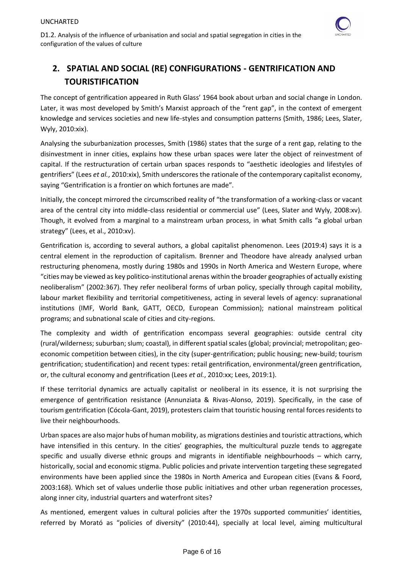

# <span id="page-5-0"></span>**2. SPATIAL AND SOCIAL (RE) CONFIGURATIONS - GENTRIFICATION AND TOURISTIFICATION**

The concept of gentrification appeared in Ruth Glass' 1964 book about urban and social change in London. Later, it was most developed by Smith's Marxist approach of the "rent gap", in the context of emergent knowledge and services societies and new life-styles and consumption patterns (Smith, 1986; Lees, Slater, Wyly, 2010:xix).

Analysing the suburbanization processes, Smith (1986) states that the surge of a rent gap, relating to the disinvestment in inner cities, explains how these urban spaces were later the object of reinvestment of capital. If the restructuration of certain urban spaces responds to "aesthetic ideologies and lifestyles of gentrifiers" (Lees *et al.*, 2010:xix), Smith underscores the rationale of the contemporary capitalist economy, saying "Gentrification is a frontier on which fortunes are made".

Initially, the concept mirrored the circumscribed reality of "the transformation of a working-class or vacant area of the central city into middle-class residential or commercial use" (Lees, Slater and Wyly, 2008:xv). Though, it evolved from a marginal to a mainstream urban process, in what Smith calls "a global urban strategy" (Lees, et al., 2010:xv).

Gentrification is, according to several authors, a global capitalist phenomenon. Lees (2019:4) says it is a central element in the reproduction of capitalism. Brenner and Theodore have already analysed urban restructuring phenomena, mostly during 1980s and 1990s in North America and Western Europe, where "cities may be viewed as key politico-institutional arenas within the broader geographies of actually existing neoliberalism" (2002:367). They refer neoliberal forms of urban policy, specially through capital mobility, labour market flexibility and territorial competitiveness, acting in several levels of agency: supranational institutions (IMF, World Bank, GATT, OECD, European Commission); national mainstream political programs; and subnational scale of cities and city-regions.

The complexity and width of gentrification encompass several geographies: outside central city (rural/wilderness; suburban; slum; coastal), in different spatial scales (global; provincial; metropolitan; geoeconomic competition between cities), in the city (super-gentrification; public housing; new-build; tourism gentrification; studentification) and recent types: retail gentrification, environmental/green gentrification, or, the cultural economy and gentrification (Lees *et al.*, 2010:xx; Lees, 2019:1).

If these territorial dynamics are actually capitalist or neoliberal in its essence, it is not surprising the emergence of gentrification resistance (Annunziata & Rivas-Alonso, 2019). Specifically, in the case of tourism gentrification (Cócola-Gant, 2019), protesters claim that touristic housing rental forces residents to live their neighbourhoods.

Urban spaces are also major hubs of human mobility, as migrations destinies and touristic attractions, which have intensified in this century. In the cities' geographies, the multicultural puzzle tends to aggregate specific and usually diverse ethnic groups and migrants in identifiable neighbourhoods – which carry, historically, social and economic stigma. Public policies and private intervention targeting these segregated environments have been applied since the 1980s in North America and European cities (Evans & Foord, 2003:168). Which set of values underlie those public initiatives and other urban regeneration processes, along inner city, industrial quarters and waterfront sites?

As mentioned, emergent values in cultural policies after the 1970s supported communities' identities, referred by Morató as "policies of diversity" (2010:44), specially at local level, aiming multicultural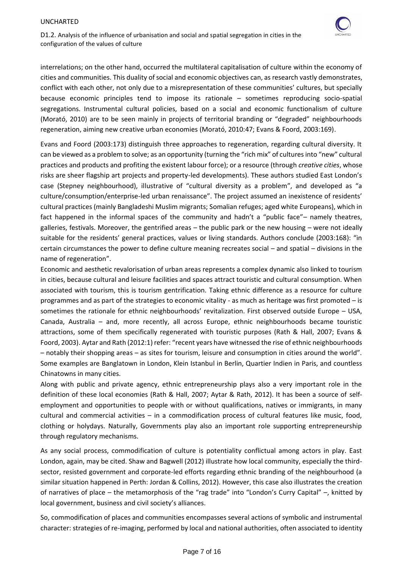

D1.2. Analysis of the influence of urbanisation and social and spatial segregation in cities in the configuration of the values of culture

interrelations; on the other hand, occurred the multilateral capitalisation of culture within the economy of cities and communities. This duality of social and economic objectives can, as research vastly demonstrates, conflict with each other, not only due to a misrepresentation of these communities' cultures, but specially because economic principles tend to impose its rationale – sometimes reproducing socio-spatial segregations. Instrumental cultural policies, based on a social and economic functionalism of culture (Morató, 2010) are to be seen mainly in projects of territorial branding or "degraded" neighbourhoods regeneration, aiming new creative urban economies (Morató, 2010:47; Evans & Foord, 2003:169).

Evans and Foord (2003:173) distinguish three approaches to regeneration, regarding cultural diversity. It can be viewed as a problem to solve; as an opportunity (turning the "rich mix" of cultures into "new" cultural practices and products and profiting the existent labour force); or a resource (through *creative cities*, whose risks are sheer flagship art projects and property-led developments). These authors studied East London's case (Stepney neighbourhood), illustrative of "cultural diversity as a problem", and developed as "a culture/consumption/enterprise-led urban renaissance". The project assumed an inexistence of residents' cultural practices (mainly Bangladeshi Muslim migrants; Somalian refuges; aged white Europeans), which in fact happened in the informal spaces of the community and hadn't a "public face"– namely theatres, galleries, festivals. Moreover, the gentrified areas – the public park or the new housing – were not ideally suitable for the residents' general practices, values or living standards. Authors conclude (2003:168): "in certain circumstances the power to define culture meaning recreates social – and spatial – divisions in the name of regeneration".

Economic and aesthetic revalorisation of urban areas represents a complex dynamic also linked to tourism in cities, because cultural and leisure facilities and spaces attract touristic and cultural consumption. When associated with tourism, this is tourism gentrification. Taking ethnic difference as a resource for culture programmes and as part of the strategies to economic vitality - as much as heritage was first promoted – is sometimes the rationale for ethnic neighbourhoods' revitalization. First observed outside Europe – USA, Canada, Australia – and, more recently, all across Europe, ethnic neighbourhoods became touristic attractions, some of them specifically regenerated with touristic purposes (Rath & Hall, 2007; Evans & Foord, 2003). Aytar and Rath (2012:1) refer: "recent years have witnessed the rise of ethnic neighbourhoods – notably their shopping areas – as sites for tourism, leisure and consumption in cities around the world". Some examples are Banglatown in London, Klein Istanbul in Berlin, Quartier Indien in Paris, and countless Chinatowns in many cities.

Along with public and private agency, ethnic entrepreneurship plays also a very important role in the definition of these local economies (Rath & Hall, 2007; Aytar & Rath, 2012). It has been a source of selfemployment and opportunities to people with or without qualifications, natives or immigrants, in many cultural and commercial activities – in a commodification process of cultural features like music, food, clothing or holydays. Naturally, Governments play also an important role supporting entrepreneurship through regulatory mechanisms.

As any social process, commodification of culture is potentiality conflictual among actors in play. East London, again, may be cited. Shaw and Bagwell (2012) illustrate how local community, especially the thirdsector, resisted government and corporate-led efforts regarding ethnic branding of the neighbourhood (a similar situation happened in Perth: [Jordan &](https://opus.lib.uts.edu.au/browse?type=author&sort_by=2&order=DESC&value=Jordan%2c+K) [Collins,](https://opus.lib.uts.edu.au/browse?type=author&sort_by=2&order=DESC&value=Collins%2c+J) 2012). However, this case also illustrates the creation of narratives of place – the metamorphosis of the "rag trade" into "London's Curry Capital" –, knitted by local government, business and civil society's alliances.

So, commodification of places and communities encompasses several actions of symbolic and instrumental character: strategies of re-imaging, performed by local and national authorities, often associated to identity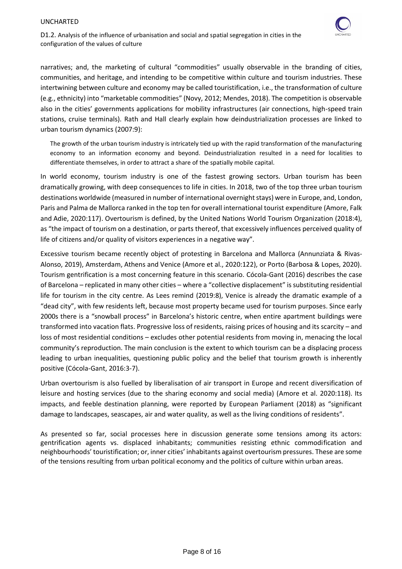

D1.2. Analysis of the influence of urbanisation and social and spatial segregation in cities in the configuration of the values of culture

narratives; and, the marketing of cultural "commodities" usually observable in the branding of cities, communities, and heritage, and intending to be competitive within culture and tourism industries. These intertwining between culture and economy may be called touristification, i.e., the transformation of culture (e.g., ethnicity) into "marketable commodities" (Novy, 2012; Mendes, 2018). The competition is observable also in the cities' governments applications for mobility infrastructures (air connections, high-speed train stations, cruise terminals). Rath and Hall clearly explain how deindustrialization processes are linked to urban tourism dynamics (2007:9):

The growth of the urban tourism industry is intricately tied up with the rapid transformation of the manufacturing economy to an information economy and beyond. Deindustrialization resulted in a need for localities to differentiate themselves, in order to attract a share of the spatially mobile capital.

In world economy, tourism industry is one of the fastest growing sectors. Urban tourism has been dramatically growing, with deep consequences to life in cities. In 2018, two of the top three urban tourism destinations worldwide (measured in number of international overnight stays) were in Europe, and, London, Paris and Palma de Mallorca ranked in the top ten for overall international tourist expenditure (Amore, Falk and Adie, 2020:117). Overtourism is defined, by the United Nations World Tourism Organization (2018:4), as "the impact of tourism on a destination, or parts thereof, that excessively influences perceived quality of life of citizens and/or quality of visitors experiences in a negative way".

Excessive tourism became recently object of protesting in Barcelona and Mallorca (Annunziata & Rivas-Alonso, 2019), Amsterdam, Athens and Venice (Amore et al., 2020:122), or Porto (Barbosa & Lopes, 2020). Tourism gentrification is a most concerning feature in this scenario. Cócola-Gant (2016) describes the case of Barcelona – replicated in many other cities – where a "collective displacement" is substituting residential life for tourism in the city centre. As Lees remind (2019:8), Venice is already the dramatic example of a "dead city", with few residents left, because most property became used for tourism purposes. Since early 2000s there is a "snowball process" in Barcelona's historic centre, when entire apartment buildings were transformed into vacation flats. Progressive loss of residents, raising prices of housing and its scarcity – and loss of most residential conditions – excludes other potential residents from moving in, menacing the local community's reproduction. The main conclusion is the extent to which tourism can be a displacing process leading to urban inequalities, questioning public policy and the belief that tourism growth is inherently positive (Cócola-Gant, 2016:3-7).

Urban overtourism is also fuelled by liberalisation of air transport in Europe and recent diversification of leisure and hosting services (due to the sharing economy and social media) (Amore et al. 2020:118). Its impacts, and feeble destination planning, were reported by European Parliament (2018) as "significant damage to landscapes, seascapes, air and water quality, as well as the living conditions of residents".

As presented so far, social processes here in discussion generate some tensions among its actors: gentrification agents vs. displaced inhabitants; communities resisting ethnic commodification and neighbourhoods' touristification; or, inner cities' inhabitants against overtourism pressures. These are some of the tensions resulting from urban political economy and the politics of culture within urban areas.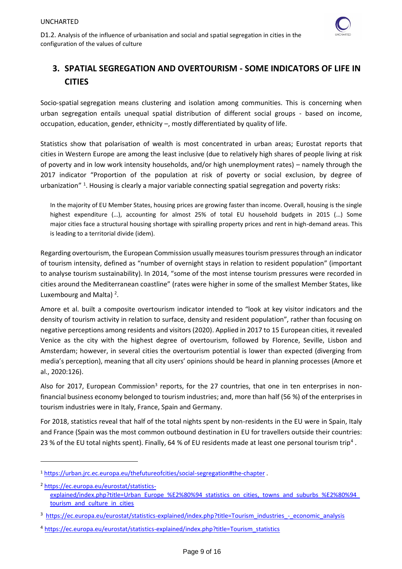

# <span id="page-8-0"></span>**3. SPATIAL SEGREGATION AND OVERTOURISM - SOME INDICATORS OF LIFE IN CITIES**

Socio-spatial segregation means clustering and isolation among communities. This is concerning when urban segregation entails unequal spatial distribution of different social groups - based on income, occupation, education, gender, ethnicity –, mostly differentiated by quality of life.

Statistics show that polarisation of wealth is most concentrated in urban areas; Eurostat reports that cities in Western Europe are among the least inclusive (due to relatively high shares of people living at risk of poverty and in low work intensity households, and/or high unemployment rates) – namely through the 2017 indicator "Proportion of the population at risk of poverty or social exclusion, by degree of urbanization"<sup>1</sup>. Housing is clearly a major variable connecting spatial segregation and poverty risks:

In the majority of EU Member States, housing prices are growing faster than income. Overall, housing is the single highest expenditure (…), accounting for almost 25% of total EU household budgets in 2015 (…) Some major cities face a structural housing shortage with spiralling property prices and rent in high-demand areas. This is leading to a territorial divide (idem).

Regarding overtourism, the European Commission usually measures tourism pressures through an indicator of tourism intensity, defined as "number of overnight stays in relation to resident population" (important to analyse tourism sustainability). In 2014, "some of the most intense tourism pressures were recorded in cities around the Mediterranean coastline" (rates were higher in some of the smallest Member States, like Luxembourg and Malta)<sup>2</sup>.

Amore et al. built a composite overtourism indicator intended to "look at key visitor indicators and the density of tourism activity in relation to surface, density and resident population", rather than focusing on negative perceptions among residents and visitors (2020). Applied in 2017 to 15 European cities, it revealed Venice as the city with the highest degree of overtourism, followed by Florence, Seville, Lisbon and Amsterdam; however, in several cities the overtourism potential is lower than expected (diverging from media's perception), meaning that all city users' opinions should be heard in planning processes (Amore et al., 2020:126).

Also for 2017, European Commission<sup>3</sup> reports, for the 27 countries, that one in ten enterprises in nonfinancial business economy belonged to tourism industries; and, more than half (56 %) of the enterprises in tourism industries were in Italy, France, Spain and Germany.

For 2018, statistics reveal that half of the total nights spent by non-residents in the EU were in Spain, Italy and France (Spain was the most common outbound destination in EU for travellers outside their countries: 23 % of the EU total nights spent). Finally, 64 % of EU residents made at least one personal tourism trip<sup>4</sup>.

<sup>1</sup> <https://urban.jrc.ec.europa.eu/thefutureofcities/social-segregation#the-chapter> .

<sup>2</sup> [https://ec.europa.eu/eurostat/statistics](https://ec.europa.eu/eurostat/statistics-explained/index.php?title=Urban_Europe_—_statistics_on_cities,_towns_and_suburbs_—_tourism_and_culture_in_cities)[explained/index.php?title=Urban\\_Europe\\_%E2%80%94\\_statistics\\_on\\_cities,\\_towns\\_and\\_suburbs\\_%E2%80%94\\_](https://ec.europa.eu/eurostat/statistics-explained/index.php?title=Urban_Europe_—_statistics_on_cities,_towns_and_suburbs_—_tourism_and_culture_in_cities) [tourism\\_and\\_culture\\_in\\_cities](https://ec.europa.eu/eurostat/statistics-explained/index.php?title=Urban_Europe_—_statistics_on_cities,_towns_and_suburbs_—_tourism_and_culture_in_cities)

<sup>&</sup>lt;sup>3</sup> [https://ec.europa.eu/eurostat/statistics-explained/index.php?title=Tourism\\_industries\\_-\\_economic\\_analysis](https://ec.europa.eu/eurostat/statistics-explained/index.php?title=Tourism_industries_-_economic_analysis)

<sup>4</sup> [https://ec.europa.eu/eurostat/statistics-explained/index.php?title=Tourism\\_statistics](https://ec.europa.eu/eurostat/statistics-explained/index.php?title=Tourism_statistics)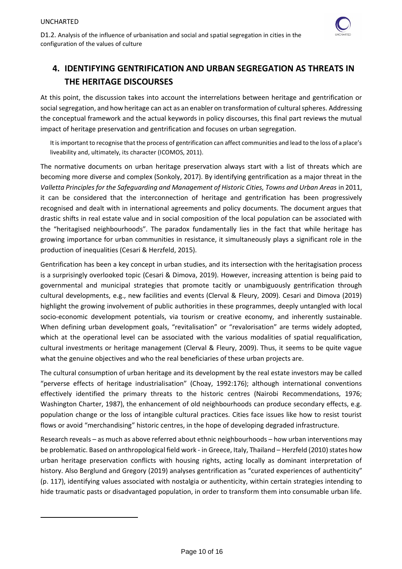

# <span id="page-9-0"></span>**4. IDENTIFYING GENTRIFICATION AND URBAN SEGREGATION AS THREATS IN THE HERITAGE DISCOURSES**

At this point, the discussion takes into account the interrelations between heritage and gentrification or social segregation, and how heritage can act as an enabler on transformation of cultural spheres. Addressing the conceptual framework and the actual keywords in policy discourses, this final part reviews the mutual impact of heritage preservation and gentrification and focuses on urban segregation.

It is important to recognise that the process of gentrification can affect communities and lead to the loss of a place's liveability and, ultimately, its character (ICOMOS, 2011).

The normative documents on urban heritage preservation always start with a list of threats which are becoming more diverse and complex (Sonkoly, 2017). By identifying gentrification as a major threat in the *Valletta Principles for the Safeguarding and Management of Historic Cities, Towns and Urban Areas* in 2011, it can be considered that the interconnection of heritage and gentrification has been progressively recognised and dealt with in international agreements and policy documents. The document argues that drastic shifts in real estate value and in social composition of the local population can be associated with the "heritagised neighbourhoods". The paradox fundamentally lies in the fact that while heritage has growing importance for urban communities in resistance, it simultaneously plays a significant role in the production of inequalities (Cesari & Herzfeld, 2015).

Gentrification has been a key concept in urban studies, and its intersection with the heritagisation process is a surprisingly overlooked topic (Cesari & Dimova, 2019). However, increasing attention is being paid to governmental and municipal strategies that promote tacitly or unambiguously gentrification through cultural developments, e.g., new facilities and events (Clerval & Fleury, 2009). Cesari and Dimova (2019) highlight the growing involvement of public authorities in these programmes, deeply untangled with local socio-economic development potentials, via tourism or creative economy, and inherently sustainable. When defining urban development goals, "revitalisation" or "revalorisation" are terms widely adopted, which at the operational level can be associated with the various modalities of spatial requalification, cultural investments or heritage management (Clerval & Fleury, 2009). Thus, it seems to be quite vague what the genuine objectives and who the real beneficiaries of these urban projects are.

The cultural consumption of urban heritage and its development by the real estate investors may be called "perverse effects of heritage industrialisation" (Choay, 1992:176); although international conventions effectively identified the primary threats to the historic centres (Nairobi Recommendations, 1976; Washington Charter, 1987), the enhancement of old neighbourhoods can produce secondary effects, e.g. population change or the loss of intangible cultural practices. Cities face issues like how to resist tourist flows or avoid "merchandising" historic centres, in the hope of developing degraded infrastructure.

Research reveals – as much as above referred about ethnic neighbourhoods – how urban interventions may be problematic. Based on anthropological field work - in Greece, Italy, Thailand – Herzfeld (2010) states how urban heritage preservation conflicts with housing rights, acting locally as dominant interpretation of history. Also Berglund and Gregory (2019) analyses gentrification as "curated experiences of authenticity" (p. 117), identifying values associated with nostalgia or authenticity, within certain strategies intending to hide traumatic pasts or disadvantaged population, in order to transform them into consumable urban life.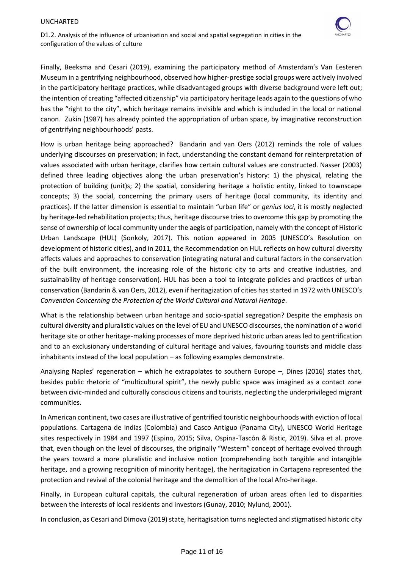

D1.2. Analysis of the influence of urbanisation and social and spatial segregation in cities in the configuration of the values of culture

Finally, Beeksma and Cesari (2019), examining the participatory method of Amsterdam's Van Eesteren Museum in a gentrifying neighbourhood, observed how higher-prestige social groups were actively involved in the participatory heritage practices, while disadvantaged groups with diverse background were left out; the intention of creating "affected citizenship" via participatory heritage leads again to the questions of who has the "right to the city", which heritage remains invisible and which is included in the local or national canon. Zukin (1987) has already pointed the appropriation of urban space, by imaginative reconstruction of gentrifying neighbourhoods' pasts.

How is urban heritage being approached? Bandarin and van Oers (2012) reminds the role of values underlying discourses on preservation; in fact, understanding the constant demand for reinterpretation of values associated with urban heritage, clarifies how certain cultural values are constructed. Nasser (2003) defined three leading objectives along the urban preservation's history: 1) the physical, relating the protection of building (unit)s; 2) the spatial, considering heritage a holistic entity, linked to townscape concepts; 3) the social, concerning the primary users of heritage (local community, its identity and practices). If the latter dimension is essential to maintain "urban life" or *genius loci*, it is mostly neglected by heritage-led rehabilitation projects; thus, heritage discourse tries to overcome this gap by promoting the sense of ownership of local community under the aegis of participation, namely with the concept of Historic Urban Landscape (HUL) (Sonkoly, 2017). This notion appeared in 2005 (UNESCO's Resolution on development of historic cities), and in 2011, the Recommendation on HUL reflects on how cultural diversity affects values and approaches to conservation (integrating natural and cultural factors in the conservation of the built environment, the increasing role of the historic city to arts and creative industries, and sustainability of heritage conservation). HUL has been a tool to integrate policies and practices of urban conservation (Bandarin & van Oers, 2012), even if heritagization of cities has started in 1972 with UNESCO's *Convention Concerning the Protection of the World Cultural and Natural Heritage*.

What is the relationship between urban heritage and socio-spatial segregation? Despite the emphasis on cultural diversity and pluralistic values on the level of EU and UNESCO discourses, the nomination of a world heritage site or other heritage-making processes of more deprived historic urban areas led to gentrification and to an exclusionary understanding of cultural heritage and values, favouring tourists and middle class inhabitants instead of the local population – as following examples demonstrate.

Analysing Naples' regeneration – which he extrapolates to southern Europe –, Dines (2016) states that, besides public rhetoric of "multicultural spirit", the newly public space was imagined as a contact zone between civic-minded and culturally conscious citizens and tourists, neglecting the underprivileged migrant communities.

In American continent, two cases are illustrative of gentrified touristic neighbourhoods with eviction of local populations. Cartagena de Indias (Colombia) and Casco Antiguo (Panama City), UNESCO World Heritage sites respectively in 1984 and 1997 (Espino, 2015; Silva, Ospina-Tascón & Ristic, 2019). Silva et al. prove that, even though on the level of discourses, the originally "Western" concept of heritage evolved through the years toward a more pluralistic and inclusive notion (comprehending both tangible and intangible heritage, and a growing recognition of minority heritage), the heritagization in Cartagena represented the protection and revival of the colonial heritage and the demolition of the local Afro-heritage.

Finally, in European cultural capitals, the cultural regeneration of urban areas often led to disparities between the interests of local residents and investors (Gunay, 2010; Nylund, 2001).

In conclusion, as Cesari and Dimova (2019) state, heritagisation turns neglected and stigmatised historic city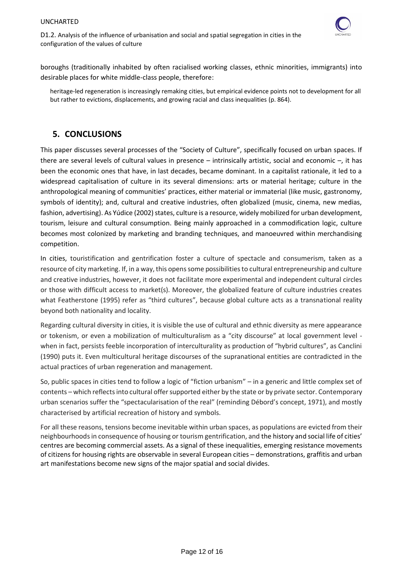

boroughs (traditionally inhabited by often racialised working classes, ethnic minorities, immigrants) into desirable places for white middle-class people, therefore:

<span id="page-11-0"></span>heritage-led regeneration is increasingly remaking cities, but empirical evidence points not to development for all but rather to evictions, displacements, and growing racial and class inequalities (p. 864).

# **5. CONCLUSIONS**

This paper discusses several processes of the "Society of Culture", specifically focused on urban spaces. If there are several levels of cultural values in presence – intrinsically artistic, social and economic –, it has been the economic ones that have, in last decades, became dominant. In a capitalist rationale, it led to a widespread capitalisation of culture in its several dimensions: arts or material heritage; culture in the anthropological meaning of communities' practices, either material or immaterial (like music, gastronomy, symbols of identity); and, cultural and creative industries, often globalized (music, cinema, new medias, fashion, advertising). As Yúdice (2002) states, culture is a resource, widely mobilized for urban development, tourism, leisure and cultural consumption. Being mainly approached in a commodification logic, culture becomes most colonized by marketing and branding techniques, and manoeuvred within merchandising competition.

In cities, touristification and gentrification foster a culture of spectacle and consumerism, taken as a resource of city marketing. If, in a way, this opens some possibilities to cultural entrepreneurship and culture and creative industries, however, it does not facilitate more experimental and independent cultural circles or those with difficult access to market(s). Moreover, the globalized feature of culture industries creates what Featherstone (1995) refer as "third cultures", because global culture acts as a transnational reality beyond both nationality and locality.

Regarding cultural diversity in cities, it is visible the use of cultural and ethnic diversity as mere appearance or tokenism, or even a mobilization of multiculturalism as a "city discourse" at local government level when in fact, persists feeble incorporation of interculturality as production of "hybrid cultures", as Canclini (1990) puts it. Even multicultural heritage discourses of the supranational entities are contradicted in the actual practices of urban regeneration and management.

So, public spaces in cities tend to follow a logic of "fiction urbanism" – in a generic and little complex set of contents – which reflects into cultural offer supported either by the state or by private sector. Contemporary urban scenarios suffer the "spectacularisation of the real" (reminding Débord's concept, 1971), and mostly characterised by artificial recreation of history and symbols.

For all these reasons, tensions become inevitable within urban spaces, as populations are evicted from their neighbourhoods in consequence of housing or tourism gentrification, and the history and social life of cities' centres are becoming commercial assets. As a signal of these inequalities, emerging resistance movements of citizens for housing rights are observable in several European cities – demonstrations, graffitis and urban art manifestations become new signs of the major spatial and social divides.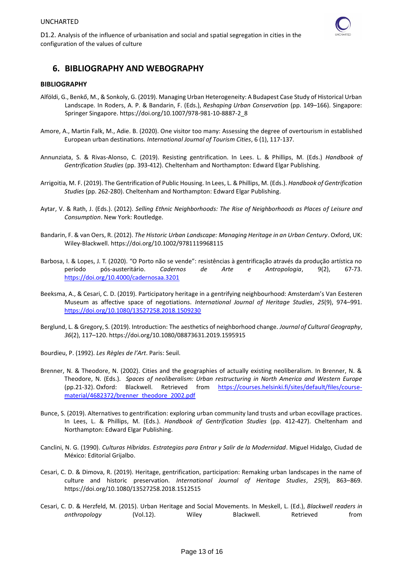

## <span id="page-12-0"></span>**6. BIBLIOGRAPHY AND WEBOGRAPHY**

#### **BIBLIOGRAPHY**

- Alföldi, G., Benkő, M., & Sonkoly, G. (2019). Managing Urban Heterogeneity: A Budapest Case Study of Historical Urban Landscape. In Roders, A. P. & Bandarin, F. (Eds.), *Reshaping Urban Conservation* (pp. 149–166). Singapore: Springer Singapore. https://doi.org/10.1007/978-981-10-8887-2\_8
- Amore, A., Martin Falk, M., Adie. B. (2020). One visitor too many: Assessing the degree of overtourism in established European urban destinations. *International Journal of Tourism Cities*, 6 (1), 117-137.
- Annunziata, S. & Rivas-Alonso, C. (2019). Resisting gentrification. In Lees. L. & Phillips, M. (Eds.) *Handbook of Gentrification Studies* (pp. 393-412). Cheltenham and Northampton: Edward Elgar Publishing.
- Arrigoitia, M. F. (2019). The Gentrification of Public Housing. In Lees, L. & Phillips, M. (Eds.). *Handbook of Gentrification Studies* (pp. 262-280). Cheltenham and Northampton: Edward Elgar Publishing.
- Aytar, V. & Rath, J. (Eds.). (2012). *Selling Ethnic Neighborhoods: The Rise of Neighborhoods as Places of Leisure and Consumption*. New York: Routledge.
- Bandarin, F. & van Oers, R. (2012). *The Historic Urban Landscape: Managing Heritage in an Urban Century*. Oxford, UK: Wiley-Blackwell. https://doi.org/10.1002/9781119968115
- Barbosa, I. & Lopes, J. T. (2020). "O Porto não se vende": resistências à gentrificação através da produção artística no período pós-austeritário. *Cadernos de Arte e Antropologia*, 9(2), 67-73. <https://doi.org/10.4000/cadernosaa.3201>
- Beeksma, A., & Cesari, C. D. (2019). Participatory heritage in a gentrifying neighbourhood: Amsterdam's Van Eesteren Museum as affective space of negotiations. *International Journal of Heritage Studies*, *25*(9), 974–991. <https://doi.org/10.1080/13527258.2018.1509230>
- Berglund, L. & Gregory, S. (2019). Introduction: The aesthetics of neighborhood change. *Journal of Cultural Geography*, *36*(2), 117–120. https://doi.org/10.1080/08873631.2019.1595915
- Bourdieu, P. (1992). *Les Règles de l'Art*. Paris: Seuil.
- Brenner, N. & Theodore, N. (2002). Cities and the geographies of actually existing neoliberalism. In Brenner, N. & Theodore, N. (Eds.). *Spaces of neoliberalism: Urban restructuring in North America and Western Europe* (pp.21-32). Oxford: Blackwell. Retrieved from [https://courses.helsinki.fi/sites/default/files/course](https://courses.helsinki.fi/sites/default/files/course-material/4682372/brenner_theodore_2002.pdf)[material/4682372/brenner\\_theodore\\_2002.pdf](https://courses.helsinki.fi/sites/default/files/course-material/4682372/brenner_theodore_2002.pdf)
- Bunce, S. (2019). Alternatives to gentrification: exploring urban community land trusts and urban ecovillage practices. In Lees, L. & Phillips, M. (Eds.). *Handbook of Gentrification Studies* (pp. 412-427). Cheltenham and Northampton: Edward Elgar Publishing.
- Canclini, N. G. (1990). *Culturas Híbridas. Estrategias para Entrar y Salir de la Modernidad*. Miguel Hidalgo, Ciudad de México: Editorial Grijalbo.
- Cesari, C. D. & Dimova, R. (2019). Heritage, gentrification, participation: Remaking urban landscapes in the name of culture and historic preservation. *International Journal of Heritage Studies*, *25*(9), 863–869. https://doi.org/10.1080/13527258.2018.1512515
- Cesari, C. D. & Herzfeld, M. (2015). Urban Heritage and Social Movements. In Meskell, L. (Ed.), *Blackwell readers in*  anthropology (Vol.12). Wiley Blackwell. Retrieved from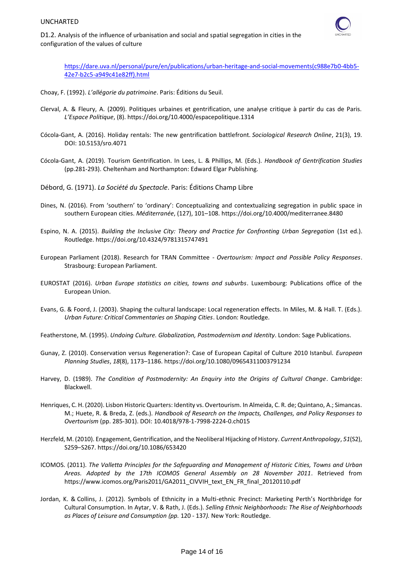

D1.2. Analysis of the influence of urbanisation and social and spatial segregation in cities in the configuration of the values of culture

[https://dare.uva.nl/personal/pure/en/publications/urban-heritage-and-social-movements\(c988e7b0-4bb5-](https://dare.uva.nl/personal/pure/en/publications/urban-heritage-and-social-movements(c988e7b0-4bb5-42e7-b2c5-a949c41e82ff).html) [42e7-b2c5-a949c41e82ff\).html](https://dare.uva.nl/personal/pure/en/publications/urban-heritage-and-social-movements(c988e7b0-4bb5-42e7-b2c5-a949c41e82ff).html)

- Choay, F. (1992). *L'allégorie du patrimoine*. Paris: Éditions du Seuil.
- Clerval, A. & Fleury, A. (2009). Politiques urbaines et gentrification, une analyse critique à partir du cas de Paris. *L'Espace Politique*, (8). https://doi.org/10.4000/espacepolitique.1314
- Cócola-Gant, A. (2016). Holiday rentals: The new gentrification battlefront. *Sociological Research Online*, 21(3), 19. DOI: 10.5153/sro.4071
- Cócola-Gant, A. (2019). Tourism Gentrification. In Lees, L. & Phillips, M. (Eds.). *Handbook of Gentrification Studies* (pp.281-293). Cheltenham and Northampton: Edward Elgar Publishing.
- Débord, G. (1971). *La Société du Spectacle*. Paris: Éditions Champ Libre
- Dines, N. (2016). From 'southern' to 'ordinary': Conceptualizing and contextualizing segregation in public space in southern European cities. *Méditerranée*, (127), 101–108. https://doi.org/10.4000/mediterranee.8480
- Espino, N. A. (2015). *Building the Inclusive City: Theory and Practice for Confronting Urban Segregation* (1st ed.). Routledge. https://doi.org/10.4324/9781315747491
- European Parliament (2018). Research for TRAN Committee *Overtourism: Impact and Possible Policy Responses*. Strasbourg: European Parliament.
- EUROSTAT (2016). *Urban Europe statistics on cities, towns and suburbs*. Luxembourg: Publications office of the European Union.
- Evans, G. & Foord, J. (2003). Shaping the cultural landscape: Local regeneration effects. In Miles, M. & Hall. T. (Eds.). *Urban Future: Critical Commentaries on Shaping Cities*. London: Routledge.
- Featherstone, M. (1995). *Undoing Culture. Globalization, Postmodernism and Identity*. London: Sage Publications.
- Gunay, Z. (2010). Conservation versus Regeneration?: Case of European Capital of Culture 2010 Istanbul. *European Planning Studies*, *18*(8), 1173–1186. https://doi.org/10.1080/09654311003791234
- Harvey, D. (1989). *The Condition of Postmodernity: An Enquiry into the Origins of Cultural Change*. Cambridge: Blackwell.
- Henriques, C. H. (2020). Lisbon Historic Quarters: Identity vs. Overtourism. In Almeida, C. R. de; Quintano, A.; Simancas. M.; Huete, R. & Breda, Z. (eds.). *[Handbook of Research on the Impacts, Challenges, and Policy Responses to](https://www.igi-global.com/book/handbook-research-impacts-challenges-policy/235714)  [Overtourism](https://www.igi-global.com/book/handbook-research-impacts-challenges-policy/235714)* (pp. 285-301). DOI: 10.4018/978-1-7998-2224-0.ch015
- Herzfeld, M. (2010). Engagement, Gentrification, and the Neoliberal Hijacking of History. *Current Anthropology*, *51*(S2), S259–S267. https://doi.org/10.1086/653420
- ICOMOS. (2011). *The Valletta Principles for the Safeguarding and Management of Historic Cities, Towns and Urban Areas. Adopted by the 17th ICOMOS General Assembly on 28 November 2011*. Retrieved from https://www.icomos.org/Paris2011/GA2011\_CIVVIH\_text\_EN\_FR\_final\_20120110.pdf
- [Jordan, K.](https://opus.lib.uts.edu.au/browse?type=author&sort_by=2&order=DESC&value=Jordan%2c+K) & [Collins, J.](https://opus.lib.uts.edu.au/browse?type=author&sort_by=2&order=DESC&value=Collins%2c+J) (2012). Symbols of Ethnicity in a Multi-ethnic Precinct: Marketing Perth's Northbridge for Cultural Consumption. In Aytar, V. & Rath, J. (Eds.). *Selling Ethnic Neighborhoods: The Rise of Neighborhoods as Places of Leisure and Consumption (pp.* 120 - 137*).* New York: Routledge.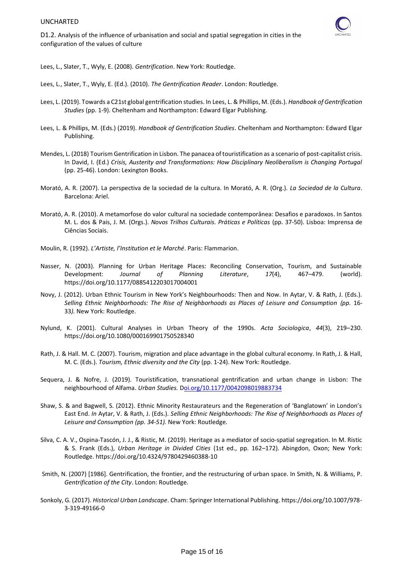

D1.2. Analysis of the influence of urbanisation and social and spatial segregation in cities in the configuration of the values of culture

Lees, L., Slater, T., Wyly, E. (2008). *Gentrification*. New York: Routledge.

Lees, L., Slater, T., Wyly, E. (Ed.). (2010). *The Gentrification Reader*. London: Routledge.

- Lees, L. (2019). Towards a C21st global gentrification studies. In Lees, L. & Phillips, M. (Eds.). *Handbook of Gentrification Studies* (pp. 1-9). Cheltenham and Northampton: Edward Elgar Publishing.
- Lees, L. & Phillips, M. (Eds.) (2019). *Handbook of Gentrification Studies*. Cheltenham and Northampton: Edward Elgar Publishing.
- Mendes, L. (2018) Tourism Gentrification in Lisbon. The panacea of touristification as a scenario of post-capitalist crisis. In David, I. (Ed.) *Crisis, Austerity and Transformations: How Disciplinary Neoliberalism is Changing Portugal* (pp. 25-46). London: Lexington Books.
- Morató, A. R. (2007). La perspectiva de la sociedad de la cultura. In Morató, A. R. (Org.). *La Sociedad de la Cultura*. Barcelona: Ariel.
- Morató, A. R. (2010). A metamorfose do valor cultural na sociedade contemporânea: Desafios e paradoxos. In Santos M. L. dos & Pais, J. M. (Orgs.). *Novos Trilhos Culturais. Práticas e Políticas* (pp. 37-50). Lisboa: Imprensa de Ciências Sociais.
- Moulin, R. (1992). *L'Artiste, l'Institution et le Marché*. Paris: Flammarion.
- Nasser, N. (2003). Planning for Urban Heritage Places: Reconciling Conservation, Tourism, and Sustainable Development: *Journal of Planning Literature*, *17*(4), 467–479. (world). https://doi.org/10.1177/0885412203017004001
- Novy, J. (2012). Urban Ethnic Tourism in New York's Neighbourhoods: Then and Now. In Aytar, V. & Rath, J. (Eds.). *Selling Ethnic Neighborhoods: The Rise of Neighborhoods as Places of Leisure and Consumption (pp.* 16- 33*).* New York: Routledge.
- Nylund, K. (2001). Cultural Analyses in Urban Theory of the 1990s. *Acta Sociologica*, *44*(3), 219–230. https://doi.org/10.1080/000169901750528340
- Rath, J. & Hall. M. C. (2007). Tourism, migration and place advantage in the global cultural economy. In Rath, J. & Hall, M. C. (Eds.). *Tourism, Ethnic diversity and the City* (pp. 1-24). New York: Routledge.
- Sequera, J. & Nofre, J. (2019). Touristification, transnational gentrification and urban change in Lisbon: The neighbourhood of Alfama. *Urban Studies.* [Doi.org/10.1177/0042098019883734](https://doi.org/10.1177%2F0042098019883734)
- Shaw, S. & and Bagwell, S. (2012). Ethnic Minority Restaurateurs and the Regeneration of 'Banglatown' in London's East End. *In* Aytar, V. & Rath, J. (Eds.). *Selling Ethnic Neighborhoods: The Rise of Neighborhoods as Places of Leisure and Consumption (pp. 34-51).* New York: Routledge.
- Silva, C. A. V., Ospina-Tascón, J. J., & Ristic, M. (2019). Heritage as a mediator of socio-spatial segregation. In M. Ristic & S. Frank (Eds.), *Urban Heritage in Divided Cities* (1st ed., pp. 162–172). Abingdon, Oxon; New York: Routledge. https://doi.org/10.4324/9780429460388-10
- Smith, N. (2007) [1986]. Gentrification, the frontier, and the restructuring of urban space. In Smith, N. & Williams, P. *Gentrification of the City*. London: Routledge.
- Sonkoly, G. (2017). *Historical Urban Landscape*. Cham: Springer International Publishing. https://doi.org/10.1007/978- 3-319-49166-0